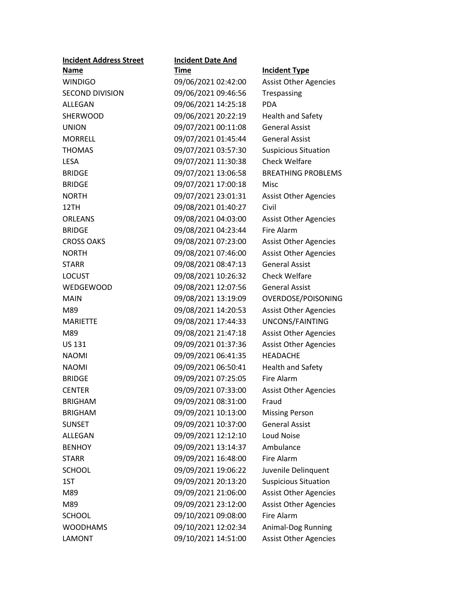| <b>Incident Address Street</b> | <b>Incident Date And</b> |                              |  |
|--------------------------------|--------------------------|------------------------------|--|
| <b>Name</b>                    | <b>Time</b>              | <b>Incident Type</b>         |  |
| <b>WINDIGO</b>                 | 09/06/2021 02:42:00      | <b>Assist Other Agencies</b> |  |
| <b>SECOND DIVISION</b>         | 09/06/2021 09:46:56      | Trespassing                  |  |
| ALLEGAN                        | 09/06/2021 14:25:18      | <b>PDA</b>                   |  |
| <b>SHERWOOD</b>                | 09/06/2021 20:22:19      | <b>Health and Safety</b>     |  |
| <b>UNION</b>                   | 09/07/2021 00:11:08      | <b>General Assist</b>        |  |
| <b>MORRELL</b>                 | 09/07/2021 01:45:44      | <b>General Assist</b>        |  |
| <b>THOMAS</b>                  | 09/07/2021 03:57:30      | <b>Suspicious Situation</b>  |  |
| <b>LESA</b>                    | 09/07/2021 11:30:38      | <b>Check Welfare</b>         |  |
| <b>BRIDGE</b>                  | 09/07/2021 13:06:58      | <b>BREATHING PROBLEMS</b>    |  |
| <b>BRIDGE</b>                  | 09/07/2021 17:00:18      | Misc                         |  |
| <b>NORTH</b>                   | 09/07/2021 23:01:31      | <b>Assist Other Agencies</b> |  |
| 12TH                           | 09/08/2021 01:40:27      | Civil                        |  |
| <b>ORLEANS</b>                 | 09/08/2021 04:03:00      | <b>Assist Other Agencies</b> |  |
| <b>BRIDGE</b>                  | 09/08/2021 04:23:44      | <b>Fire Alarm</b>            |  |
| <b>CROSS OAKS</b>              | 09/08/2021 07:23:00      | <b>Assist Other Agencies</b> |  |
| <b>NORTH</b>                   | 09/08/2021 07:46:00      | <b>Assist Other Agencies</b> |  |
| <b>STARR</b>                   | 09/08/2021 08:47:13      | <b>General Assist</b>        |  |
| <b>LOCUST</b>                  | 09/08/2021 10:26:32      | <b>Check Welfare</b>         |  |
| <b>WEDGEWOOD</b>               | 09/08/2021 12:07:56      | <b>General Assist</b>        |  |
| <b>MAIN</b>                    | 09/08/2021 13:19:09      | OVERDOSE/POISONING           |  |
| M89                            | 09/08/2021 14:20:53      | <b>Assist Other Agencies</b> |  |
| <b>MARIETTE</b>                | 09/08/2021 17:44:33      | UNCONS/FAINTING              |  |
| M89                            | 09/08/2021 21:47:18      | <b>Assist Other Agencies</b> |  |
| <b>US 131</b>                  | 09/09/2021 01:37:36      | <b>Assist Other Agencies</b> |  |
| <b>NAOMI</b>                   | 09/09/2021 06:41:35      | <b>HEADACHE</b>              |  |
| <b>NAOMI</b>                   | 09/09/2021 06:50:41      | <b>Health and Safety</b>     |  |
| <b>BRIDGE</b>                  | 09/09/2021 07:25:05      | <b>Fire Alarm</b>            |  |
| <b>CENTER</b>                  | 09/09/2021 07:33:00      | <b>Assist Other Agencies</b> |  |
| <b>BRIGHAM</b>                 | 09/09/2021 08:31:00      | Fraud                        |  |
| <b>BRIGHAM</b>                 | 09/09/2021 10:13:00      | <b>Missing Person</b>        |  |
| <b>SUNSET</b>                  | 09/09/2021 10:37:00      | <b>General Assist</b>        |  |
| <b>ALLEGAN</b>                 | 09/09/2021 12:12:10      | <b>Loud Noise</b>            |  |
| <b>BENHOY</b>                  | 09/09/2021 13:14:37      | Ambulance                    |  |
| <b>STARR</b>                   | 09/09/2021 16:48:00      | Fire Alarm                   |  |
| <b>SCHOOL</b>                  | 09/09/2021 19:06:22      | Juvenile Delinquent          |  |
| 1ST                            | 09/09/2021 20:13:20      | <b>Suspicious Situation</b>  |  |
| M89                            | 09/09/2021 21:06:00      | <b>Assist Other Agencies</b> |  |
| M89                            | 09/09/2021 23:12:00      | <b>Assist Other Agencies</b> |  |
| <b>SCHOOL</b>                  | 09/10/2021 09:08:00      | Fire Alarm                   |  |
| <b>WOODHAMS</b>                | 09/10/2021 12:02:34      | Animal-Dog Running           |  |
| <b>LAMONT</b>                  | 09/10/2021 14:51:00      | <b>Assist Other Agencies</b> |  |